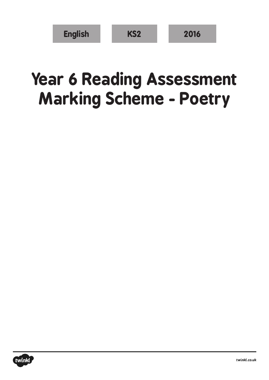| <b>English</b> | KS <sub>2</sub> | 2016 |
|----------------|-----------------|------|
|----------------|-----------------|------|

## **Year 6 Reading Assessment Marking Scheme - Poetry**

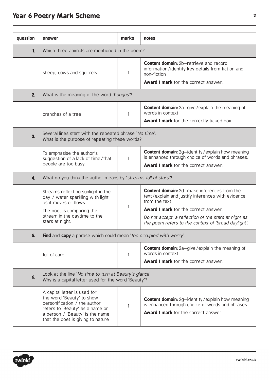## **Year 6 Poetry Mark Scheme <sup>2</sup>**

| question | answer                                                                                                                                                                                               | marks | notes                                                                                                                                                       |  |  |
|----------|------------------------------------------------------------------------------------------------------------------------------------------------------------------------------------------------------|-------|-------------------------------------------------------------------------------------------------------------------------------------------------------------|--|--|
| 1.       | Which three animals are mentioned in the poem?                                                                                                                                                       |       |                                                                                                                                                             |  |  |
|          | sheep, cows and squirrels                                                                                                                                                                            | 1     | <b>Content domain:</b> 2b-retrieve and record<br>information/identify key details from fiction and<br>non-fiction                                           |  |  |
|          |                                                                                                                                                                                                      |       | Award 1 mark for the correct answer.                                                                                                                        |  |  |
| 2.       | What is the meaning of the word 'boughs'?                                                                                                                                                            |       |                                                                                                                                                             |  |  |
|          | branches of a tree                                                                                                                                                                                   | 1     | <b>Content domain:</b> 2a–give / explain the meaning of<br>words in context                                                                                 |  |  |
|          |                                                                                                                                                                                                      |       | <b>Award 1 mark</b> for the correctly ticked box.                                                                                                           |  |  |
| 3.       | Several lines start with the repeated phrase 'No time'.<br>What is the purpose of repeating these words?                                                                                             |       |                                                                                                                                                             |  |  |
|          | To emphasise the author's<br>suggestion of a lack of time/that                                                                                                                                       | 1     | <b>Content domain:</b> 2g-identify / explain how meaning<br>is enhanced through choice of words and phrases.                                                |  |  |
|          | people are too busy.                                                                                                                                                                                 |       | Award 1 mark for the correct answer.                                                                                                                        |  |  |
| 4.       | What do you think the author means by 'streams full of stars'?                                                                                                                                       |       |                                                                                                                                                             |  |  |
|          | Streams reflecting sunlight in the<br>day / water sparkling with light<br>as it moves or flows                                                                                                       |       | Content domain: 2d-make inferences from the<br>text/explain and justify inferences with evidence<br>from the text                                           |  |  |
|          | The poet is comparing the                                                                                                                                                                            | 1     | Award 1 mark for the correct answer.                                                                                                                        |  |  |
|          | stream in the daytime to the<br>stars at night.                                                                                                                                                      |       | Do not accept: a reflection of the stars at night as<br>the poem refers to the context of 'broad daylight'.                                                 |  |  |
| 5.       | Find and copy a phrase which could mean 'too occupied with worry'.                                                                                                                                   |       |                                                                                                                                                             |  |  |
|          | full of care                                                                                                                                                                                         | 1     | <b>Content domain:</b> 2a-give / explain the meaning of<br>words in context                                                                                 |  |  |
|          |                                                                                                                                                                                                      |       | <b>Award 1 mark</b> for the correct answer.                                                                                                                 |  |  |
| 6.       | Look at the line 'No time to turn at Beauty's glance'<br>Why is a capital letter used for the word 'Beauty'?                                                                                         |       |                                                                                                                                                             |  |  |
|          | A capital letter is used for<br>the word 'Beauty' to show<br>personification / the author<br>refers to 'Beauty' as a name or<br>a person / 'Beauty' is the name<br>that the poet is giving to nature | 1     | <b>Content domain:</b> 2g-identify / explain how meaning<br>is enhanced through choice of words and phrases.<br><b>Award 1 mark</b> for the correct answer. |  |  |